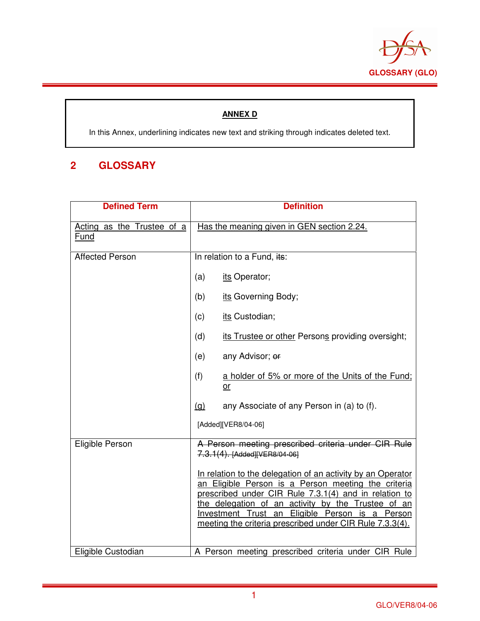

## **ANNEX D**

In this Annex, underlining indicates new text and striking through indicates deleted text.

## **2 GLOSSARY**

| <b>Defined Term</b>                | <b>Definition</b>                                                                                                                                                                                                                                                                                                                                |
|------------------------------------|--------------------------------------------------------------------------------------------------------------------------------------------------------------------------------------------------------------------------------------------------------------------------------------------------------------------------------------------------|
| Acting as the Trustee of a<br>Fund | Has the meaning given in GEN section 2.24.                                                                                                                                                                                                                                                                                                       |
| <b>Affected Person</b>             | In relation to a Fund, its:                                                                                                                                                                                                                                                                                                                      |
|                                    | (a)<br>its Operator;                                                                                                                                                                                                                                                                                                                             |
|                                    | its Governing Body;<br>(b)                                                                                                                                                                                                                                                                                                                       |
|                                    | its Custodian;<br>(c)                                                                                                                                                                                                                                                                                                                            |
|                                    | (d)<br>its Trustee or other Persons providing oversight;                                                                                                                                                                                                                                                                                         |
|                                    | any Advisor; or<br>(e)                                                                                                                                                                                                                                                                                                                           |
|                                    | (f)<br>a holder of 5% or more of the Units of the Fund:<br>$or$                                                                                                                                                                                                                                                                                  |
|                                    | <u>(a)</u><br>any Associate of any Person in (a) to (f).                                                                                                                                                                                                                                                                                         |
|                                    | [Added][VER8/04-06]                                                                                                                                                                                                                                                                                                                              |
| Eligible Person                    | A Person meeting prescribed criteria under CIR Rule<br>7.3.1(4). [Added][VER8/04-06]                                                                                                                                                                                                                                                             |
|                                    | In relation to the delegation of an activity by an Operator<br>an Eligible Person is a Person meeting the criteria<br>prescribed under CIR Rule 7.3.1(4) and in relation to<br>the delegation of an activity by the Trustee of an<br>Investment Trust an Eligible Person is a Person<br>meeting the criteria prescribed under CIR Rule 7.3.3(4). |
| Eligible Custodian                 | A Person meeting prescribed criteria under CIR Rule                                                                                                                                                                                                                                                                                              |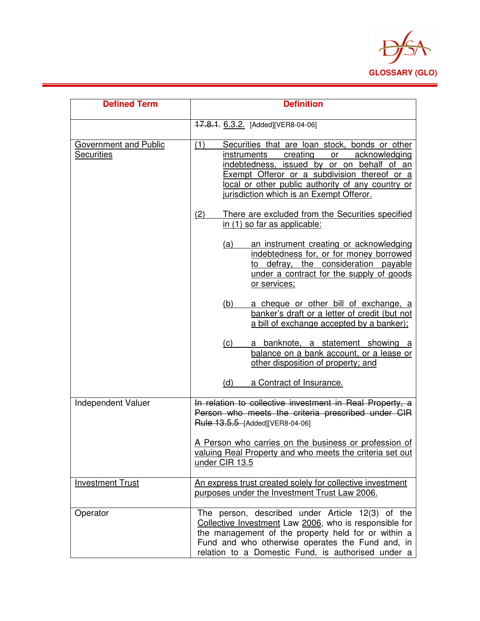

| <b>Defined Term</b>                        | <b>Definition</b>                                                                                                                                                                                                                                                                                   |
|--------------------------------------------|-----------------------------------------------------------------------------------------------------------------------------------------------------------------------------------------------------------------------------------------------------------------------------------------------------|
|                                            | 17.8.1. 6.3.2. [Added][VER8-04-06]                                                                                                                                                                                                                                                                  |
| Government and Public<br><b>Securities</b> | (1)<br>Securities that are loan stock, bonds or other<br>creating<br>instruments<br>or acknowledging<br>indebtedness, issued by or on behalf of an<br>Exempt Offeror or a subdivision thereof or a<br>local or other public authority of any country or<br>jurisdiction which is an Exempt Offeror. |
|                                            | (2)<br>There are excluded from the Securities specified<br>in (1) so far as applicable:                                                                                                                                                                                                             |
|                                            | an instrument creating or acknowledging<br><u>(a)</u><br>indebtedness for, or for money borrowed<br>to defray, the consideration payable<br>under a contract for the supply of goods<br>or services;                                                                                                |
|                                            | a cheque or other bill of exchange, a<br><u>(b)</u><br>banker's draft or a letter of credit (but not<br>a bill of exchange accepted by a banker);                                                                                                                                                   |
|                                            | a banknote, a statement showing a<br>(C)<br>balance on a bank account, or a lease or<br>other disposition of property; and                                                                                                                                                                          |
|                                            | (d)<br>a Contract of Insurance.                                                                                                                                                                                                                                                                     |
| Independent Valuer                         | In relation to collective investment in Real Property, a<br>Person who meets the criteria prescribed under CIR<br>Rule 13.5.5 [Added][VER8-04-06]                                                                                                                                                   |
|                                            | A Person who carries on the business or profession of<br>valuing Real Property and who meets the criteria set out<br>under CIR 13.5                                                                                                                                                                 |
| <b>Investment Trust</b>                    | An express trust created solely for collective investment<br>purposes under the Investment Trust Law 2006.                                                                                                                                                                                          |
| Operator                                   | The person, described under Article 12(3) of the<br>Collective Investment Law 2006, who is responsible for<br>the management of the property held for or within a<br>Fund and who otherwise operates the Fund and, in<br>relation to a Domestic Fund, is authorised under a                         |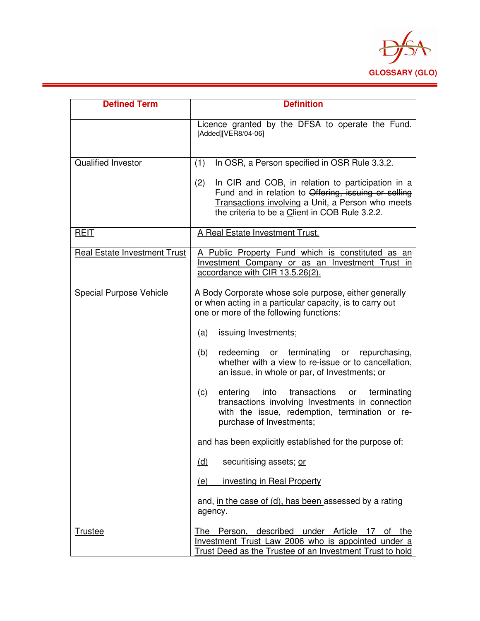

| <b>Defined Term</b>                 | <b>Definition</b>                                                                                                                                                                                                       |
|-------------------------------------|-------------------------------------------------------------------------------------------------------------------------------------------------------------------------------------------------------------------------|
|                                     | Licence granted by the DFSA to operate the Fund.<br>[Added][VER8/04-06]                                                                                                                                                 |
| <b>Qualified Investor</b>           | In OSR, a Person specified in OSR Rule 3.3.2.<br>(1)                                                                                                                                                                    |
|                                     | In CIR and COB, in relation to participation in a<br>(2)<br>Fund and in relation to Offering, issuing or selling<br>Transactions involving a Unit, a Person who meets<br>the criteria to be a Client in COB Rule 3.2.2. |
| <b>REIT</b>                         | A Real Estate Investment Trust.                                                                                                                                                                                         |
| <b>Real Estate Investment Trust</b> | A Public Property Fund which is constituted as an<br>Investment Company or as an Investment Trust in<br>accordance with CIR 13.5.26(2).                                                                                 |
| Special Purpose Vehicle             | A Body Corporate whose sole purpose, either generally<br>or when acting in a particular capacity, is to carry out<br>one or more of the following functions:                                                            |
|                                     | issuing Investments;<br>(a)                                                                                                                                                                                             |
|                                     | redeeming or terminating or repurchasing,<br>(b)<br>whether with a view to re-issue or to cancellation,<br>an issue, in whole or par, of Investments; or                                                                |
|                                     | into<br>transactions<br>terminating<br>(c)<br>entering<br>or<br>transactions involving Investments in connection<br>with the issue, redemption, termination or re-<br>purchase of Investments;                          |
|                                     | and has been explicitly established for the purpose of:                                                                                                                                                                 |
|                                     | securitising assets; or<br><u>(d)</u>                                                                                                                                                                                   |
|                                     | investing in Real Property<br>(e)                                                                                                                                                                                       |
|                                     | and, in the case of (d), has been assessed by a rating<br>agency.                                                                                                                                                       |
| <b>Trustee</b>                      | The Person, described under Article 17<br>οf<br>the<br>Investment Trust Law 2006 who is appointed under a<br>Trust Deed as the Trustee of an Investment Trust to hold                                                   |